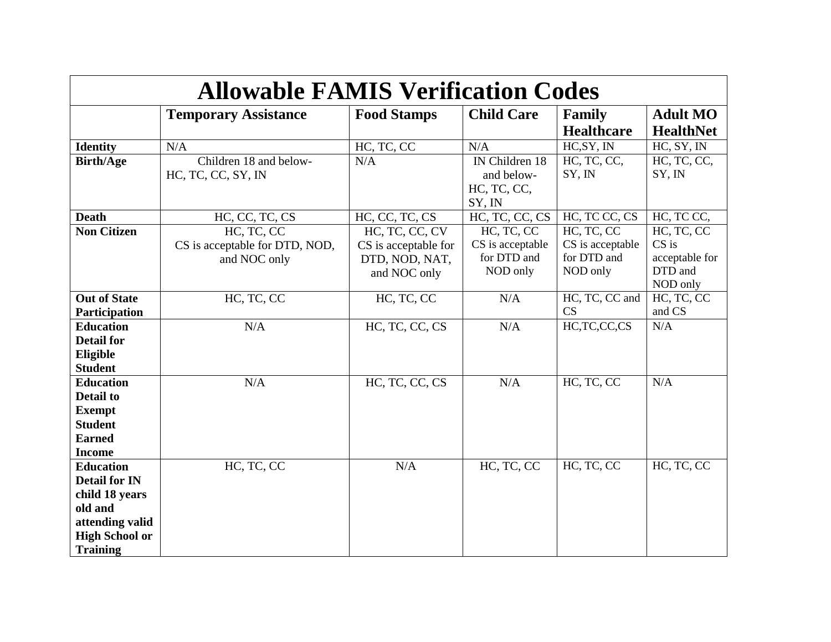| <b>Allowable FAMIS Verification Codes</b>                                                                                            |                                                              |                                                                          |                                                           |                                                           |                                                                |  |
|--------------------------------------------------------------------------------------------------------------------------------------|--------------------------------------------------------------|--------------------------------------------------------------------------|-----------------------------------------------------------|-----------------------------------------------------------|----------------------------------------------------------------|--|
|                                                                                                                                      | <b>Temporary Assistance</b>                                  | <b>Food Stamps</b>                                                       | <b>Child Care</b>                                         | <b>Family</b><br><b>Healthcare</b>                        | <b>Adult MO</b><br><b>HealthNet</b>                            |  |
| <b>Identity</b>                                                                                                                      | N/A                                                          | HC, TC, CC                                                               | N/A                                                       | HC, SY, IN                                                | HC, SY, IN                                                     |  |
| <b>Birth/Age</b>                                                                                                                     | Children 18 and below-<br>HC, TC, CC, SY, IN                 | N/A                                                                      | IN Children 18<br>and below-<br>HC, TC, CC,<br>SY, IN     | HC, TC, CC,<br>SY, IN                                     | HC, TC, CC,<br>SY, IN                                          |  |
| <b>Death</b>                                                                                                                         | HC, CC, TC, CS                                               | HC, CC, TC, CS                                                           | HC, TC, CC, CS                                            | HC, TC CC, CS                                             | HC, TC CC,                                                     |  |
| <b>Non Citizen</b>                                                                                                                   | HC, TC, CC<br>CS is acceptable for DTD, NOD,<br>and NOC only | HC, TC, CC, CV<br>CS is acceptable for<br>DTD, NOD, NAT,<br>and NOC only | HC, TC, CC<br>CS is acceptable<br>for DTD and<br>NOD only | HC, TC, CC<br>CS is acceptable<br>for DTD and<br>NOD only | HC, TC, CC<br>$CS$ is<br>acceptable for<br>DTD and<br>NOD only |  |
| <b>Out of State</b><br>Participation                                                                                                 | HC, TC, CC                                                   | HC, TC, CC                                                               | N/A                                                       | HC, TC, CC and<br>CS                                      | HC, TC, CC<br>and CS                                           |  |
| <b>Education</b><br><b>Detail for</b><br>Eligible<br><b>Student</b>                                                                  | N/A                                                          | HC, TC, CC, CS                                                           | N/A                                                       | HC,TC,CC,CS                                               | N/A                                                            |  |
| <b>Education</b><br><b>Detail to</b><br><b>Exempt</b><br><b>Student</b><br><b>Earned</b><br><b>Income</b>                            | N/A                                                          | HC, TC, CC, CS                                                           | N/A                                                       | HC, TC, CC                                                | N/A                                                            |  |
| <b>Education</b><br><b>Detail for IN</b><br>child 18 years<br>old and<br>attending valid<br><b>High School or</b><br><b>Training</b> | HC, TC, CC                                                   | N/A                                                                      | HC, TC, CC                                                | HC, TC, CC                                                | HC, TC, CC                                                     |  |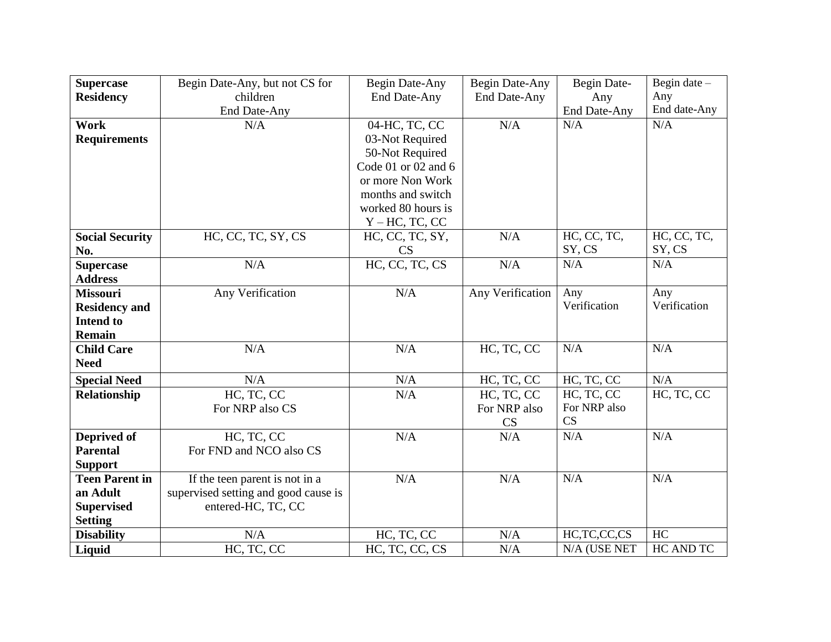| <b>Supercase</b>       | Begin Date-Any, but not CS for       | Begin Date-Any            | Begin Date-Any   | Begin Date-  | Begin date $-$ |
|------------------------|--------------------------------------|---------------------------|------------------|--------------|----------------|
| <b>Residency</b>       | children                             | End Date-Any              | End Date-Any     | Any          | Any            |
|                        | <b>End Date-Any</b>                  |                           |                  | End Date-Any | End date-Any   |
| Work                   | N/A                                  | 04-HC, TC, CC             | N/A              | N/A          | N/A            |
| <b>Requirements</b>    |                                      | 03-Not Required           |                  |              |                |
|                        |                                      | 50-Not Required           |                  |              |                |
|                        |                                      | Code $01$ or $02$ and $6$ |                  |              |                |
|                        |                                      | or more Non Work          |                  |              |                |
|                        |                                      | months and switch         |                  |              |                |
|                        |                                      | worked 80 hours is        |                  |              |                |
|                        |                                      | $Y - HC$ , TC, CC         |                  |              |                |
| <b>Social Security</b> | HC, CC, TC, SY, CS                   | HC, CC, TC, SY,           | N/A              | HC, CC, TC,  | HC, CC, TC,    |
| No.                    |                                      | <b>CS</b>                 |                  | SY, CS       | SY, CS         |
| <b>Supercase</b>       | N/A                                  | HC, CC, TC, CS            | N/A              | N/A          | N/A            |
| <b>Address</b>         |                                      |                           |                  |              |                |
| <b>Missouri</b>        | Any Verification                     | N/A                       | Any Verification | Any          | Any            |
| <b>Residency and</b>   |                                      |                           |                  | Verification | Verification   |
| <b>Intend to</b>       |                                      |                           |                  |              |                |
| <b>Remain</b>          |                                      |                           |                  |              |                |
| <b>Child Care</b>      | N/A                                  | N/A                       | HC, TC, CC       | N/A          | N/A            |
| <b>Need</b>            |                                      |                           |                  |              |                |
| <b>Special Need</b>    | N/A                                  | N/A                       | HC, TC, CC       | HC, TC, CC   | N/A            |
| Relationship           | HC, TC, CC                           | N/A                       | HC, TC, CC       | HC, TC, CC   | HC, TC, CC     |
|                        | For NRP also CS                      |                           | For NRP also     | For NRP also |                |
|                        |                                      |                           | <b>CS</b>        | CS           |                |
| Deprived of            | HC, TC, CC                           | N/A                       | N/A              | N/A          | N/A            |
| <b>Parental</b>        | For FND and NCO also CS              |                           |                  |              |                |
| <b>Support</b>         |                                      |                           |                  |              |                |
| <b>Teen Parent in</b>  | If the teen parent is not in a       | N/A                       | N/A              | N/A          | N/A            |
| an Adult               | supervised setting and good cause is |                           |                  |              |                |
| <b>Supervised</b>      | entered-HC, TC, CC                   |                           |                  |              |                |
| <b>Setting</b>         |                                      |                           |                  |              |                |
| <b>Disability</b>      | N/A                                  | HC, TC, CC                | N/A              | HC,TC,CC,CS  | HC             |
| Liquid                 | HC, TC, CC                           | HC, TC, CC, CS            | N/A              | N/A (USE NET | HC AND TC      |